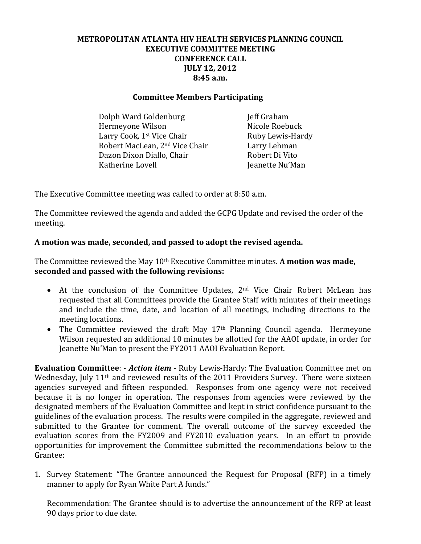# **METROPOLITAN ATLANTA HIV HEALTH SERVICES PLANNING COUNCIL EXECUTIVE COMMITTEE MEETING CONFERENCE CALL JULY 12, 2012 8:45 a.m.**

### **Committee Members Participating**

Dolph Ward Goldenburg **In the Solution Colph Ward Goldenburg** Jeff Graham Hermeyone Wilson Nicole Roebuck Larry Cook, 1<sup>st</sup> Vice Chair **Ruby Lewis-Hardy** Robert MacLean, 2<sup>nd</sup> Vice Chair Larry Lehman Dazon Dixon Diallo, Chair Robert Di Vito Katherine Lovell **International Communist Communist Communist Communist Communist Communist Communist Communist Communist Communist Communist Communist Communist Communist Communist Communist Communist Communist Communist** 

The Executive Committee meeting was called to order at 8:50 a.m.

The Committee reviewed the agenda and added the GCPG Update and revised the order of the meeting.

## **A motion was made, seconded, and passed to adopt the revised agenda.**

The Committee reviewed the May 10th Executive Committee minutes. **A motion was made, seconded and passed with the following revisions:** 

- At the conclusion of the Committee Updates, 2<sup>nd</sup> Vice Chair Robert McLean has requested that all Committees provide the Grantee Staff with minutes of their meetings and include the time, date, and location of all meetings, including directions to the meeting locations.
- The Committee reviewed the draft May 17<sup>th</sup> Planning Council agenda. Hermeyone Wilson requested an additional 10 minutes be allotted for the AAOI update, in order for Jeanette Nu'Man to present the FY2011 AAOI Evaluation Report.

**Evaluation Committee**: - *Action item* - Ruby Lewis-Hardy: The Evaluation Committee met on Wednesday, July 11<sup>th</sup> and reviewed results of the 2011 Providers Survey. There were sixteen agencies surveyed and fifteen responded. Responses from one agency were not received because it is no longer in operation. The responses from agencies were reviewed by the designated members of the Evaluation Committee and kept in strict confidence pursuant to the guidelines of the evaluation process. The results were compiled in the aggregate, reviewed and submitted to the Grantee for comment. The overall outcome of the survey exceeded the evaluation scores from the FY2009 and FY2010 evaluation years. In an effort to provide opportunities for improvement the Committee submitted the recommendations below to the Grantee:

1. Survey Statement: "The Grantee announced the Request for Proposal (RFP) in a timely manner to apply for Ryan White Part A funds."

Recommendation: The Grantee should is to advertise the announcement of the RFP at least 90 days prior to due date.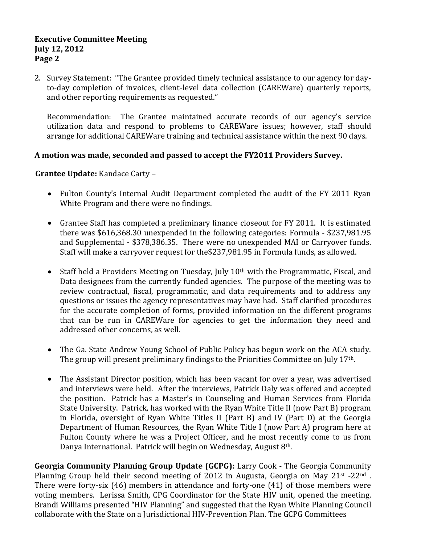#### **Executive Committee Meeting July 12, 2012 Page 2**

2. Survey Statement: "The Grantee provided timely technical assistance to our agency for dayto-day completion of invoices, client-level data collection (CAREWare) quarterly reports, and other reporting requirements as requested."

Recommendation: The Grantee maintained accurate records of our agency's service utilization data and respond to problems to CAREWare issues; however, staff should arrange for additional CAREWare training and technical assistance within the next 90 days.

# **A motion was made, seconded and passed to accept the FY2011 Providers Survey.**

## **Grantee Update:** Kandace Carty –

- Fulton County's Internal Audit Department completed the audit of the FY 2011 Ryan White Program and there were no findings.
- Grantee Staff has completed a preliminary finance closeout for FY 2011. It is estimated there was \$616,368.30 unexpended in the following categories: Formula - \$237,981.95 and Supplemental - \$378,386.35. There were no unexpended MAI or Carryover funds. Staff will make a carryover request for the\$237,981.95 in Formula funds, as allowed.
- Staff held a Providers Meeting on Tuesday, July  $10<sup>th</sup>$  with the Programmatic, Fiscal, and Data designees from the currently funded agencies. The purpose of the meeting was to review contractual, fiscal, programmatic, and data requirements and to address any questions or issues the agency representatives may have had. Staff clarified procedures for the accurate completion of forms, provided information on the different programs that can be run in CAREWare for agencies to get the information they need and addressed other concerns, as well.
- The Ga. State Andrew Young School of Public Policy has begun work on the ACA study. The group will present preliminary findings to the Priorities Committee on July 17th.
- The Assistant Director position, which has been vacant for over a year, was advertised and interviews were held. After the interviews, Patrick Daly was offered and accepted the position. Patrick has a Master's in Counseling and Human Services from Florida State University. Patrick, has worked with the Ryan White Title II (now Part B) program in Florida, oversight of Ryan White Titles II (Part B) and IV (Part D) at the Georgia Department of Human Resources, the Ryan White Title I (now Part A) program here at Fulton County where he was a Project Officer, and he most recently come to us from Danya International. Patrick will begin on Wednesday, August 8<sup>th</sup>.

**Georgia Community Planning Group Update (GCPG):** Larry Cook - The Georgia Community Planning Group held their second meeting of 2012 in Augusta, Georgia on May 21<sup>st</sup> -22<sup>nd</sup>. There were forty-six (46) members in attendance and forty-one (41) of those members were voting members. Lerissa Smith, CPG Coordinator for the State HIV unit, opened the meeting. Brandi Williams presented "HIV Planning" and suggested that the Ryan White Planning Council collaborate with the State on a Jurisdictional HIV-Prevention Plan. The GCPG Committees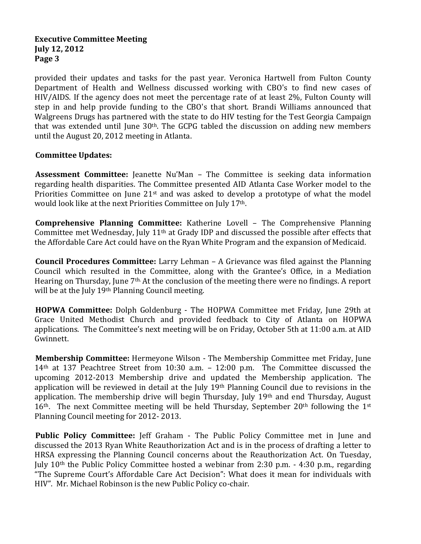#### **Executive Committee Meeting July 12, 2012 Page 3**

provided their updates and tasks for the past year. Veronica Hartwell from Fulton County Department of Health and Wellness discussed working with CBO's to find new cases of HIV/AIDS. If the agency does not meet the percentage rate of at least 2%, Fulton County will step in and help provide funding to the CBO's that short. Brandi Williams announced that Walgreens Drugs has partnered with the state to do HIV testing for the Test Georgia Campaign that was extended until June  $30<sup>th</sup>$ . The GCPG tabled the discussion on adding new members until the August 20, 2012 meeting in Atlanta.

# **Committee Updates:**

**Assessment Committee:** Jeanette Nu'Man – The Committee is seeking data information regarding health disparities. The Committee presented AID Atlanta Case Worker model to the Priorities Committee on June  $21<sup>st</sup>$  and was asked to develop a prototype of what the model would look like at the next Priorities Committee on July 17th.

**Comprehensive Planning Committee:** Katherine Lovell – The Comprehensive Planning Committee met Wednesday, July 11th at Grady IDP and discussed the possible after effects that the Affordable Care Act could have on the Ryan White Program and the expansion of Medicaid.

**Council Procedures Committee:** Larry Lehman – A Grievance was filed against the Planning Council which resulted in the Committee, along with the Grantee's Office, in a Mediation Hearing on Thursday, June 7th. At the conclusion of the meeting there were no findings. A report will be at the July 19<sup>th</sup> Planning Council meeting.

**HOPWA Committee:** Dolph Goldenburg - The HOPWA Committee met Friday, June 29th at Grace United Methodist Church and provided feedback to City of Atlanta on HOPWA applications. The Committee's next meeting will be on Friday, October 5th at 11:00 a.m. at AID Gwinnett.

**Membership Committee:** Hermeyone Wilson - The Membership Committee met Friday, June 14th at 137 Peachtree Street from 10:30 a.m. – 12:00 p.m. The Committee discussed the upcoming 2012-2013 Membership drive and updated the Membership application. The application will be reviewed in detail at the July 19th Planning Council due to revisions in the application. The membership drive will begin Thursday, July 19th and end Thursday, August  $16<sup>th</sup>$ . The next Committee meeting will be held Thursday, September 20<sup>th</sup> following the 1<sup>st</sup> Planning Council meeting for 2012- 2013.

**Public Policy Committee:** Jeff Graham - The Public Policy Committee met in June and discussed the 2013 Ryan White Reauthorization Act and is in the process of drafting a letter to HRSA expressing the Planning Council concerns about the Reauthorization Act. On Tuesday, July 10th the Public Policy Committee hosted a webinar from 2:30 p.m. - 4:30 p.m., regarding "The Supreme Court's Affordable Care Act Decision": What does it mean for individuals with HIV". Mr. Michael Robinson is the new Public Policy co-chair.